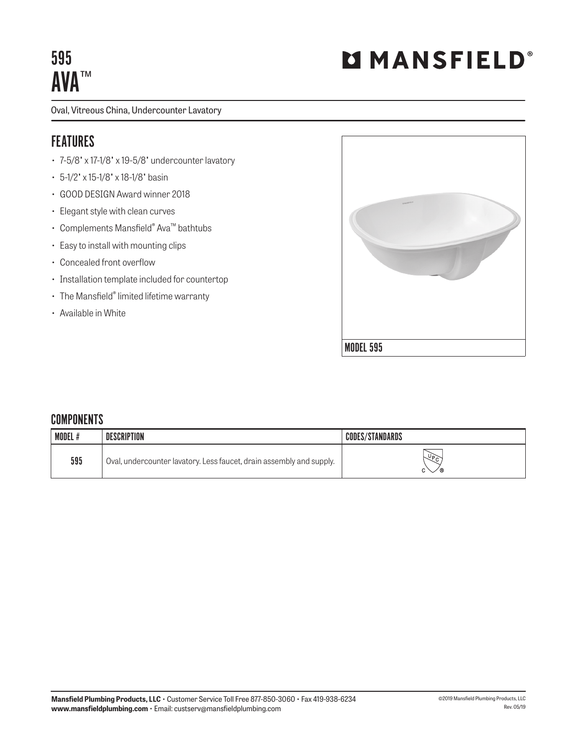# 595 **AVA™**

Oval, Vitreous China, Undercounter Lavatory

## FEATURES

- 7-5/8" x 17-1/8" x 19-5/8" undercounter lavatory
- 5-1/2" x 15-1/8" x 18-1/8" basin
- GOOD DESIGN Award winner 2018
- Elegant style with clean curves
- Complements Mansfield® Ava™ bathtubs
- Easy to install with mounting clips
- Concealed front overflow
- Installation template included for countertop
- The Mansfield® limited lifetime warranty
- Available in White



### **COMPONENTS**

| <b>MODEL#</b> | <b>DESCRIPTION</b>                                                   | <b>CODES/STANDARDS</b> |
|---------------|----------------------------------------------------------------------|------------------------|
| 595           | Oval, undercounter lavatory. Less faucet, drain assembly and supply. | $\sqrt{6}$<br>╱®       |